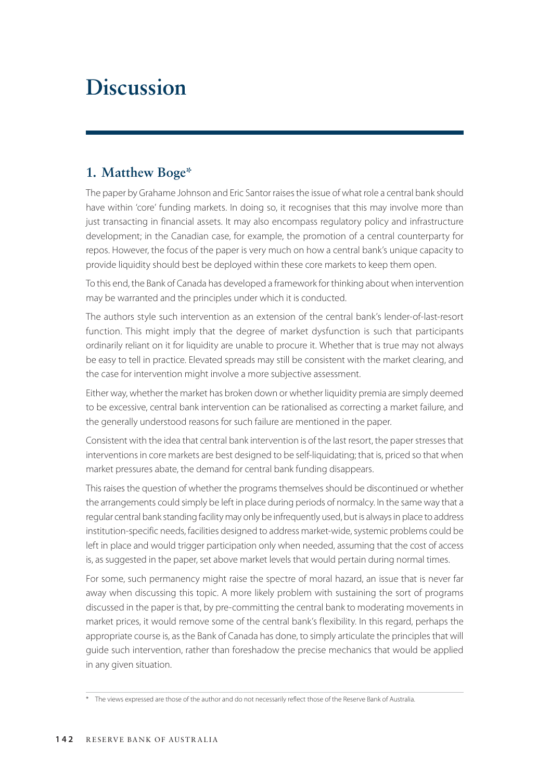# **Discussion**

## **1. Matthew Boge\***

The paper by Grahame Johnson and Eric Santor raises the issue of what role a central bank should have within 'core' funding markets. In doing so, it recognises that this may involve more than just transacting in financial assets. It may also encompass regulatory policy and infrastructure development; in the Canadian case, for example, the promotion of a central counterparty for repos. However, the focus of the paper is very much on how a central bank's unique capacity to provide liquidity should best be deployed within these core markets to keep them open.

To this end, the Bank of Canada has developed a framework for thinking about when intervention may be warranted and the principles under which it is conducted.

The authors style such intervention as an extension of the central bank's lender-of-last-resort function. This might imply that the degree of market dysfunction is such that participants ordinarily reliant on it for liquidity are unable to procure it. Whether that is true may not always be easy to tell in practice. Elevated spreads may still be consistent with the market clearing, and the case for intervention might involve a more subjective assessment.

Either way, whether the market has broken down or whether liquidity premia are simply deemed to be excessive, central bank intervention can be rationalised as correcting a market failure, and the generally understood reasons for such failure are mentioned in the paper.

Consistent with the idea that central bank intervention is of the last resort, the paper stresses that interventions in core markets are best designed to be self-liquidating; that is, priced so that when market pressures abate, the demand for central bank funding disappears.

This raises the question of whether the programs themselves should be discontinued or whether the arrangements could simply be left in place during periods of normalcy. In the same way that a regular central bank standing facility may only be infrequently used, but is always in place to address institution-specific needs, facilities designed to address market-wide, systemic problems could be left in place and would trigger participation only when needed, assuming that the cost of access is, as suggested in the paper, set above market levels that would pertain during normal times.

For some, such permanency might raise the spectre of moral hazard, an issue that is never far away when discussing this topic. A more likely problem with sustaining the sort of programs discussed in the paper is that, by pre-committing the central bank to moderating movements in market prices, it would remove some of the central bank's flexibility. In this regard, perhaps the appropriate course is, as the Bank of Canada has done, to simply articulate the principles that will guide such intervention, rather than foreshadow the precise mechanics that would be applied in any given situation.

<sup>\*</sup> The views expressed are those of the author and do not necessarily reflect those of the Reserve Bank of Australia.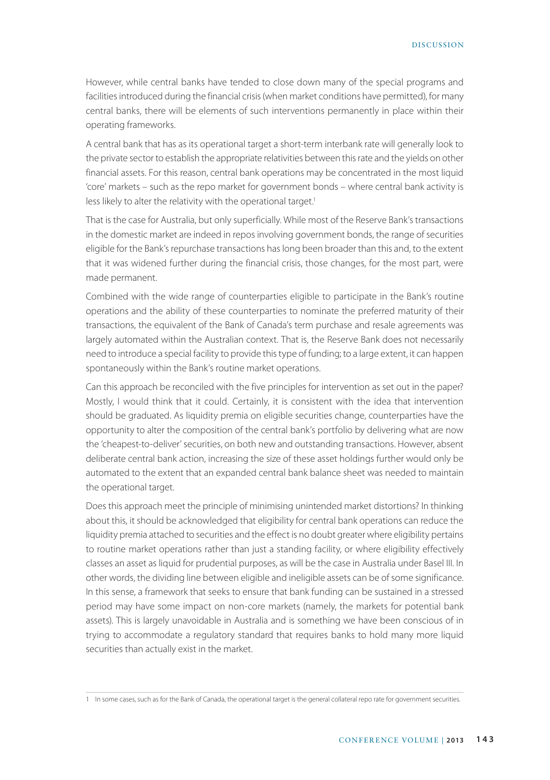However, while central banks have tended to close down many of the special programs and facilities introduced during the financial crisis (when market conditions have permitted), for many central banks, there will be elements of such interventions permanently in place within their operating frameworks.

A central bank that has as its operational target a short-term interbank rate will generally look to the private sector to establish the appropriate relativities between this rate and the yields on other financial assets. For this reason, central bank operations may be concentrated in the most liquid 'core' markets – such as the repo market for government bonds – where central bank activity is less likely to alter the relativity with the operational target.<sup>1</sup>

That is the case for Australia, but only superficially. While most of the Reserve Bank's transactions in the domestic market are indeed in repos involving government bonds, the range of securities eligible for the Bank's repurchase transactions has long been broader than this and, to the extent that it was widened further during the financial crisis, those changes, for the most part, were made permanent.

Combined with the wide range of counterparties eligible to participate in the Bank's routine operations and the ability of these counterparties to nominate the preferred maturity of their transactions, the equivalent of the Bank of Canada's term purchase and resale agreements was largely automated within the Australian context. That is, the Reserve Bank does not necessarily need to introduce a special facility to provide this type of funding; to a large extent, it can happen spontaneously within the Bank's routine market operations.

Can this approach be reconciled with the five principles for intervention as set out in the paper? Mostly, I would think that it could. Certainly, it is consistent with the idea that intervention should be graduated. As liquidity premia on eligible securities change, counterparties have the opportunity to alter the composition of the central bank's portfolio by delivering what are now the 'cheapest-to-deliver' securities, on both new and outstanding transactions. However, absent deliberate central bank action, increasing the size of these asset holdings further would only be automated to the extent that an expanded central bank balance sheet was needed to maintain the operational target.

Does this approach meet the principle of minimising unintended market distortions? In thinking about this, it should be acknowledged that eligibility for central bank operations can reduce the liquidity premia attached to securities and the effect is no doubt greater where eligibility pertains to routine market operations rather than just a standing facility, or where eligibility effectively classes an asset as liquid for prudential purposes, as will be the case in Australia under Basel III. In other words, the dividing line between eligible and ineligible assets can be of some significance. In this sense, a framework that seeks to ensure that bank funding can be sustained in a stressed period may have some impact on non-core markets (namely, the markets for potential bank assets). This is largely unavoidable in Australia and is something we have been conscious of in trying to accommodate a regulatory standard that requires banks to hold many more liquid securities than actually exist in the market.

<sup>1</sup> In some cases, such as for the Bank of Canada, the operational target is the general collateral repo rate for government securities.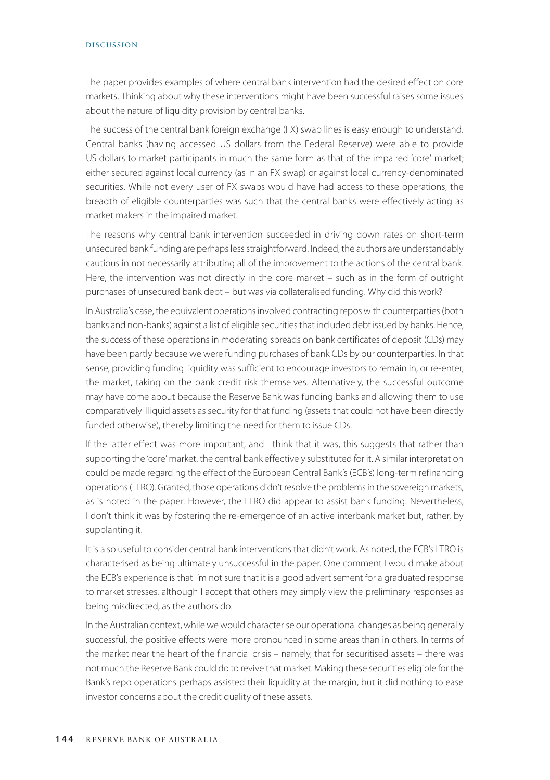#### DISCUSSION

The paper provides examples of where central bank intervention had the desired effect on core markets. Thinking about why these interventions might have been successful raises some issues about the nature of liquidity provision by central banks.

The success of the central bank foreign exchange (FX) swap lines is easy enough to understand. Central banks (having accessed US dollars from the Federal Reserve) were able to provide US dollars to market participants in much the same form as that of the impaired 'core' market; either secured against local currency (as in an FX swap) or against local currency-denominated securities. While not every user of FX swaps would have had access to these operations, the breadth of eligible counterparties was such that the central banks were effectively acting as market makers in the impaired market.

The reasons why central bank intervention succeeded in driving down rates on short-term unsecured bank funding are perhaps less straightforward. Indeed, the authors are understandably cautious in not necessarily attributing all of the improvement to the actions of the central bank. Here, the intervention was not directly in the core market – such as in the form of outright purchases of unsecured bank debt – but was via collateralised funding. Why did this work?

In Australia's case, the equivalent operations involved contracting repos with counterparties (both banks and non-banks) against a list of eligible securities that included debt issued by banks. Hence, the success of these operations in moderating spreads on bank certificates of deposit (CDs) may have been partly because we were funding purchases of bank CDs by our counterparties. In that sense, providing funding liquidity was sufficient to encourage investors to remain in, or re-enter, the market, taking on the bank credit risk themselves. Alternatively, the successful outcome may have come about because the Reserve Bank was funding banks and allowing them to use comparatively illiquid assets as security for that funding (assets that could not have been directly funded otherwise), thereby limiting the need for them to issue CDs.

If the latter effect was more important, and I think that it was, this suggests that rather than supporting the 'core' market, the central bank effectively substituted for it. A similar interpretation could be made regarding the effect of the European Central Bank's (ECB's) long-term refinancing operations (LTRO). Granted, those operations didn't resolve the problems in the sovereign markets, as is noted in the paper. However, the LTRO did appear to assist bank funding. Nevertheless, I don't think it was by fostering the re-emergence of an active interbank market but, rather, by supplanting it.

It is also useful to consider central bank interventions that didn't work. As noted, the ECB's LTRO is characterised as being ultimately unsuccessful in the paper. One comment I would make about the ECB's experience is that I'm not sure that it is a good advertisement for a graduated response to market stresses, although I accept that others may simply view the preliminary responses as being misdirected, as the authors do.

In the Australian context, while we would characterise our operational changes as being generally successful, the positive effects were more pronounced in some areas than in others. In terms of the market near the heart of the financial crisis – namely, that for securitised assets – there was not much the Reserve Bank could do to revive that market. Making these securities eligible for the Bank's repo operations perhaps assisted their liquidity at the margin, but it did nothing to ease investor concerns about the credit quality of these assets.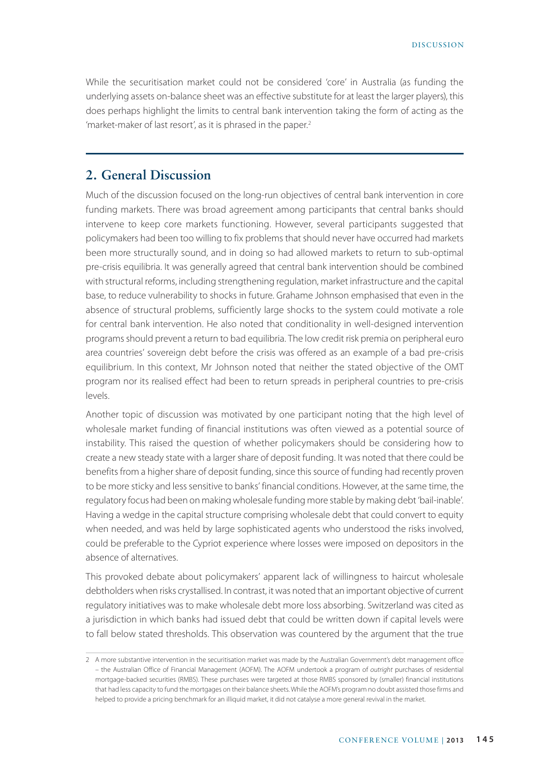While the securitisation market could not be considered 'core' in Australia (as funding the underlying assets on-balance sheet was an effective substitute for at least the larger players), this does perhaps highlight the limits to central bank intervention taking the form of acting as the 'market-maker of last resort', as it is phrased in the paper.<sup>2</sup>

### **2. General Discussion**

Much of the discussion focused on the long-run objectives of central bank intervention in core funding markets. There was broad agreement among participants that central banks should intervene to keep core markets functioning. However, several participants suggested that policymakers had been too willing to fix problems that should never have occurred had markets been more structurally sound, and in doing so had allowed markets to return to sub-optimal pre-crisis equilibria. It was generally agreed that central bank intervention should be combined with structural reforms, including strengthening regulation, market infrastructure and the capital base, to reduce vulnerability to shocks in future. Grahame Johnson emphasised that even in the absence of structural problems, sufficiently large shocks to the system could motivate a role for central bank intervention. He also noted that conditionality in well-designed intervention programs should prevent a return to bad equilibria. The low credit risk premia on peripheral euro area countries' sovereign debt before the crisis was offered as an example of a bad pre-crisis equilibrium. In this context, Mr Johnson noted that neither the stated objective of the OMT program nor its realised effect had been to return spreads in peripheral countries to pre-crisis levels.

Another topic of discussion was motivated by one participant noting that the high level of wholesale market funding of financial institutions was often viewed as a potential source of instability. This raised the question of whether policymakers should be considering how to create a new steady state with a larger share of deposit funding. It was noted that there could be benefits from a higher share of deposit funding, since this source of funding had recently proven to be more sticky and less sensitive to banks' financial conditions. However, at the same time, the regulatory focus had been on making wholesale funding more stable by making debt 'bail-inable'. Having a wedge in the capital structure comprising wholesale debt that could convert to equity when needed, and was held by large sophisticated agents who understood the risks involved, could be preferable to the Cypriot experience where losses were imposed on depositors in the absence of alternatives.

This provoked debate about policymakers' apparent lack of willingness to haircut wholesale debtholders when risks crystallised. In contrast, it was noted that an important objective of current regulatory initiatives was to make wholesale debt more loss absorbing. Switzerland was cited as a jurisdiction in which banks had issued debt that could be written down if capital levels were to fall below stated thresholds. This observation was countered by the argument that the true

<sup>2</sup> A more substantive intervention in the securitisation market was made by the Australian Government's debt management office – the Australian Office of Financial Management (AOFM). The AOFM undertook a program of *outright* purchases of residential mortgage-backed securities (RMBS). These purchases were targeted at those RMBS sponsored by (smaller) financial institutions that had less capacity to fund the mortgages on their balance sheets. While the AOFM's program no doubt assisted those firms and helped to provide a pricing benchmark for an illiquid market, it did not catalyse a more general revival in the market.